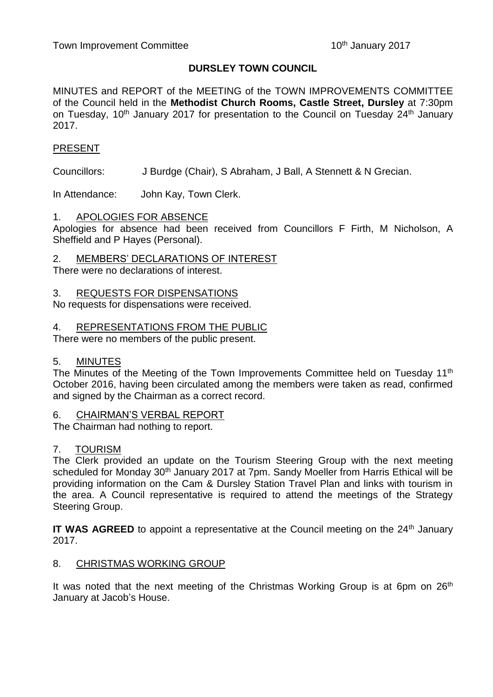# **DURSLEY TOWN COUNCIL**

MINUTES and REPORT of the MEETING of the TOWN IMPROVEMENTS COMMITTEE of the Council held in the **Methodist Church Rooms, Castle Street, Dursley** at 7:30pm on Tuesday, 10<sup>th</sup> January 2017 for presentation to the Council on Tuesday 24<sup>th</sup> January 2017.

# PRESENT

Councillors: J Burdge (Chair), S Abraham, J Ball, A Stennett & N Grecian.

In Attendance: John Kay, Town Clerk.

## 1. APOLOGIES FOR ABSENCE

Apologies for absence had been received from Councillors F Firth, M Nicholson, A Sheffield and P Hayes (Personal).

2. MEMBERS' DECLARATIONS OF INTEREST

There were no declarations of interest.

3. REQUESTS FOR DISPENSATIONS

No requests for dispensations were received.

4. REPRESENTATIONS FROM THE PUBLIC

There were no members of the public present.

## 5. MINUTES

The Minutes of the Meeting of the Town Improvements Committee held on Tuesday 11<sup>th</sup> October 2016, having been circulated among the members were taken as read, confirmed and signed by the Chairman as a correct record.

#### 6. CHAIRMAN'S VERBAL REPORT

The Chairman had nothing to report.

## 7. TOURISM

The Clerk provided an update on the Tourism Steering Group with the next meeting scheduled for Monday 30<sup>th</sup> January 2017 at 7pm. Sandy Moeller from Harris Ethical will be providing information on the Cam & Dursley Station Travel Plan and links with tourism in the area. A Council representative is required to attend the meetings of the Strategy Steering Group.

**IT WAS AGREED** to appoint a representative at the Council meeting on the 24<sup>th</sup> January 2017.

## 8. CHRISTMAS WORKING GROUP

It was noted that the next meeting of the Christmas Working Group is at 6pm on  $26<sup>th</sup>$ January at Jacob's House.